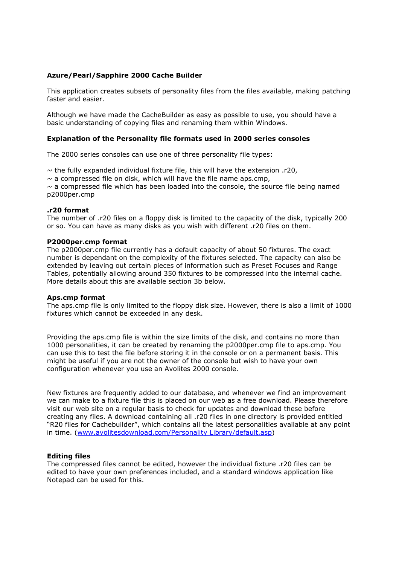# **Azure/Pearl/Sapphire 2000 Cache Builder**

This application creates subsets of personality files from the files available, making patching faster and easier.

Although we have made the CacheBuilder as easy as possible to use, you should have a basic understanding of copying files and renaming them within Windows.

## **Explanation of the Personality file formats used in 2000 series consoles**

The 2000 series consoles can use one of three personality file types:

 $\sim$  the fully expanded individual fixture file, this will have the extension .r20,

 $\sim$  a compressed file on disk, which will have the file name aps.cmp,

 $\sim$  a compressed file which has been loaded into the console, the source file being named p2000per.cmp

#### **.r20 format**

The number of .r20 files on a floppy disk is limited to the capacity of the disk, typically 200 or so. You can have as many disks as you wish with different .r20 files on them.

#### **P2000per.cmp format**

The p2000per.cmp file currently has a default capacity of about 50 fixtures. The exact number is dependant on the complexity of the fixtures selected. The capacity can also be extended by leaving out certain pieces of information such as Preset Focuses and Range Tables, potentially allowing around 350 fixtures to be compressed into the internal cache. More details about this are available section 3b below.

#### **Aps.cmp format**

The aps.cmp file is only limited to the floppy disk size. However, there is also a limit of 1000 fixtures which cannot be exceeded in any desk.

Providing the aps.cmp file is within the size limits of the disk, and contains no more than 1000 personalities, it can be created by renaming the p2000per.cmp file to aps.cmp. You can use this to test the file before storing it in the console or on a permanent basis. This might be useful if you are not the owner of the console but wish to have your own configuration whenever you use an Avolites 2000 console.

New fixtures are frequently added to our database, and whenever we find an improvement we can make to a fixture file this is placed on our web as a free download. Please therefore visit our web site on a regular basis to check for updates and download these before creating any files. A download containing all .r20 files in one directory is provided entitled "R20 files for Cachebuilder", which contains all the latest personalities available at any point in time. (www.avolitesdownload.com/Personality Library/default.asp)

# **Editing files**

The compressed files cannot be edited, however the individual fixture .r20 files can be edited to have your own preferences included, and a standard windows application like Notepad can be used for this.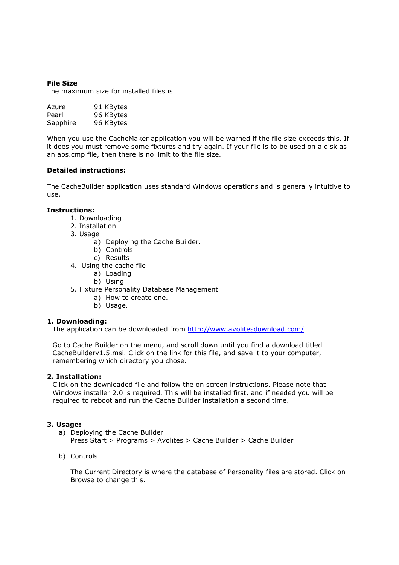# **File Size**

The maximum size for installed files is

| Azure    | 91 KBytes |
|----------|-----------|
| Pearl    | 96 KBytes |
| Sapphire | 96 KBytes |

When you use the CacheMaker application you will be warned if the file size exceeds this. If it does you must remove some fixtures and try again. If your file is to be used on a disk as an aps.cmp file, then there is no limit to the file size.

## **Detailed instructions:**

The CacheBuilder application uses standard Windows operations and is generally intuitive to use.

## **Instructions:**

- 1. Downloading
- 2. Installation
- 3. Usage
	- a) Deploying the Cache Builder.
	- b) Controls
	- c) Results
- 4. Using the cache file
	- a) Loading
	- b) Using
- 5. Fixture Personality Database Management
	- a) How to create one.
	- b) Usage.

#### **1. Downloading:**

The application can be downloaded from http://www.avolitesdownload.com/

Go to Cache Builder on the menu, and scroll down until you find a download titled CacheBuilderv1.5.msi. Click on the link for this file, and save it to your computer, remembering which directory you chose.

#### **2. Installation:**

Click on the downloaded file and follow the on screen instructions. Please note that Windows installer 2.0 is required. This will be installed first, and if needed you will be required to reboot and run the Cache Builder installation a second time.

#### **3. Usage:**

a) Deploying the Cache Builder

Press Start > Programs > Avolites > Cache Builder > Cache Builder

b) Controls

The Current Directory is where the database of Personality files are stored. Click on Browse to change this.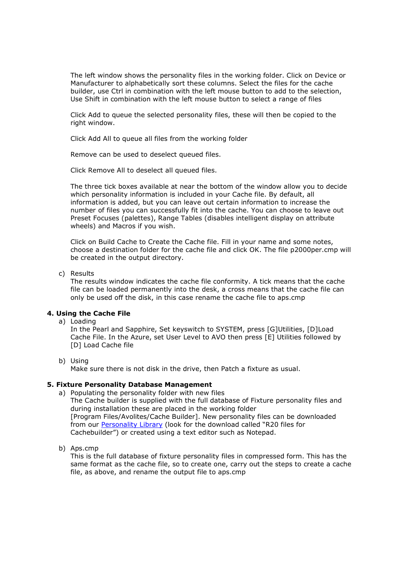The left window shows the personality files in the working folder. Click on Device or Manufacturer to alphabetically sort these columns. Select the files for the cache builder, use Ctrl in combination with the left mouse button to add to the selection, Use Shift in combination with the left mouse button to select a range of files

Click Add to queue the selected personality files, these will then be copied to the right window.

Click Add All to queue all files from the working folder

Remove can be used to deselect queued files.

Click Remove All to deselect all queued files.

The three tick boxes available at near the bottom of the window allow you to decide which personality information is included in your Cache file. By default, all information is added, but you can leave out certain information to increase the number of files you can successfully fit into the cache. You can choose to leave out Preset Focuses (palettes), Range Tables (disables intelligent display on attribute wheels) and Macros if you wish.

Click on Build Cache to Create the Cache file. Fill in your name and some notes, choose a destination folder for the cache file and click OK. The file p2000per.cmp will be created in the output directory.

## c) Results

The results window indicates the cache file conformity. A tick means that the cache file can be loaded permanently into the desk, a cross means that the cache file can only be used off the disk, in this case rename the cache file to aps.cmp

# **4. Using the Cache File**

a) Loading

In the Pearl and Sapphire, Set keyswitch to SYSTEM, press [G]Utilities, [D]Load Cache File. In the Azure, set User Level to AVO then press [E] Utilities followed by [D] Load Cache file

#### b) Using

Make sure there is not disk in the drive, then Patch a fixture as usual.

# **5. Fixture Personality Database Management**

- a) Populating the personality folder with new files The Cache builder is supplied with the full database of Fixture personality files and during installation these are placed in the working folder [Program Files/Avolites/Cache Builder]. New personality files can be downloaded from our Personality Library (look for the download called "R20 files for Cachebuilder") or created using a text editor such as Notepad.
- b) Aps.cmp

This is the full database of fixture personality files in compressed form. This has the same format as the cache file, so to create one, carry out the steps to create a cache file, as above, and rename the output file to aps.cmp